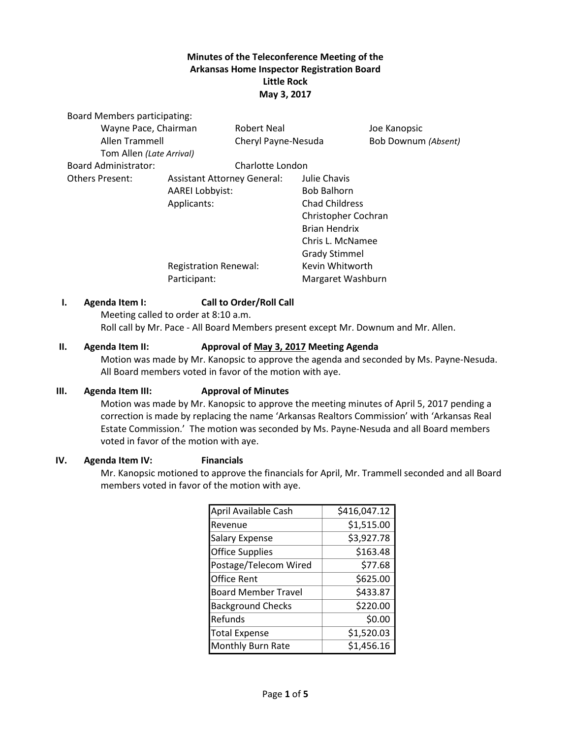# **Minutes of the Teleconference Meeting of the Arkansas Home Inspector Registration Board Little Rock May 3, 2017**

| <b>Board Members participating:</b> |                              |                     |                      |                       |  |
|-------------------------------------|------------------------------|---------------------|----------------------|-----------------------|--|
| Wayne Pace, Chairman                |                              | Robert Neal         |                      | Joe Kanopsic          |  |
| Allen Trammell                      |                              | Cheryl Payne-Nesuda |                      | Bob Downum (Absent)   |  |
| Tom Allen (Late Arrival)            |                              |                     |                      |                       |  |
| Board Administrator:                |                              | Charlotte London    |                      |                       |  |
| <b>Others Present:</b>              | Assistant Attorney General:  |                     | Julie Chavis         |                       |  |
|                                     | <b>AAREI Lobbyist:</b>       |                     | <b>Bob Balhorn</b>   |                       |  |
|                                     | Applicants:                  |                     |                      | <b>Chad Childress</b> |  |
|                                     |                              | Christopher Cochran |                      |                       |  |
|                                     |                              |                     | <b>Brian Hendrix</b> |                       |  |
|                                     |                              |                     | Chris L. McNamee     |                       |  |
|                                     |                              |                     | <b>Grady Stimmel</b> |                       |  |
|                                     | <b>Registration Renewal:</b> |                     | Kevin Whitworth      |                       |  |
|                                     | Participant:                 |                     | Margaret Washburn    |                       |  |
|                                     |                              |                     |                      |                       |  |

### **I. Agenda Item I: Call to Order/Roll Call**

Meeting called to order at 8:10 a.m. Roll call by Mr. Pace - All Board Members present except Mr. Downum and Mr. Allen.

#### **II. Agenda Item II: Approval of May 3, 2017 Meeting Agenda**

Motion was made by Mr. Kanopsic to approve the agenda and seconded by Ms. Payne-Nesuda. All Board members voted in favor of the motion with aye.

#### **III. Agenda Item III: Approval of Minutes**

Motion was made by Mr. Kanopsic to approve the meeting minutes of April 5, 2017 pending a correction is made by replacing the name 'Arkansas Realtors Commission' with 'Arkansas Real Estate Commission.' The motion was seconded by Ms. Payne-Nesuda and all Board members voted in favor of the motion with aye.

#### **IV. Agenda Item IV: Financials**

Mr. Kanopsic motioned to approve the financials for April, Mr. Trammell seconded and all Board members voted in favor of the motion with aye.

| April Available Cash       | \$416,047.12 |  |
|----------------------------|--------------|--|
| Revenue                    | \$1,515.00   |  |
| <b>Salary Expense</b>      | \$3,927.78   |  |
| <b>Office Supplies</b>     | \$163.48     |  |
| Postage/Telecom Wired      | \$77.68      |  |
| lOffice Rent               | \$625.00     |  |
| <b>Board Member Travel</b> | \$433.87     |  |
| <b>Background Checks</b>   | \$220.00     |  |
| Refunds                    | \$0.00       |  |
| <b>Total Expense</b>       | \$1,520.03   |  |
| Monthly Burn Rate          | \$1,456.16   |  |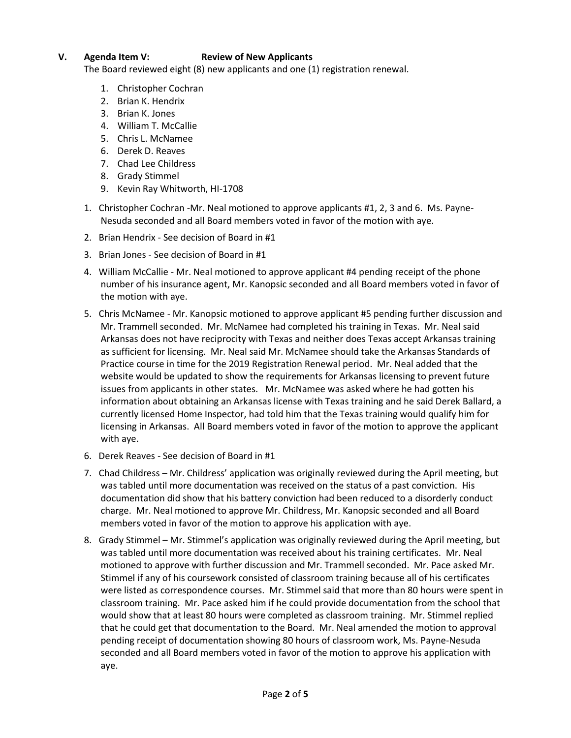# **V. Agenda Item V: Review of New Applicants**

The Board reviewed eight (8) new applicants and one (1) registration renewal.

- 1. Christopher Cochran
- 2. Brian K. Hendrix
- 3. Brian K. Jones
- 4. William T. McCallie
- 5. Chris L. McNamee
- 6. Derek D. Reaves
- 7. Chad Lee Childress
- 8. Grady Stimmel
- 9. Kevin Ray Whitworth, HI-1708
- 1. Christopher Cochran -Mr. Neal motioned to approve applicants #1, 2, 3 and 6. Ms. Payne-Nesuda seconded and all Board members voted in favor of the motion with aye.
- 2. Brian Hendrix See decision of Board in #1
- 3. Brian Jones See decision of Board in #1
- 4. William McCallie Mr. Neal motioned to approve applicant #4 pending receipt of the phone number of his insurance agent, Mr. Kanopsic seconded and all Board members voted in favor of the motion with aye.
- 5. Chris McNamee Mr. Kanopsic motioned to approve applicant #5 pending further discussion and Mr. Trammell seconded. Mr. McNamee had completed his training in Texas. Mr. Neal said Arkansas does not have reciprocity with Texas and neither does Texas accept Arkansas training as sufficient for licensing. Mr. Neal said Mr. McNamee should take the Arkansas Standards of Practice course in time for the 2019 Registration Renewal period. Mr. Neal added that the website would be updated to show the requirements for Arkansas licensing to prevent future issues from applicants in other states. Mr. McNamee was asked where he had gotten his information about obtaining an Arkansas license with Texas training and he said Derek Ballard, a currently licensed Home Inspector, had told him that the Texas training would qualify him for licensing in Arkansas. All Board members voted in favor of the motion to approve the applicant with aye.
- 6. Derek Reaves See decision of Board in #1
- 7. Chad Childress Mr. Childress' application was originally reviewed during the April meeting, but was tabled until more documentation was received on the status of a past conviction. His documentation did show that his battery conviction had been reduced to a disorderly conduct charge. Mr. Neal motioned to approve Mr. Childress, Mr. Kanopsic seconded and all Board members voted in favor of the motion to approve his application with aye.
- 8. Grady Stimmel Mr. Stimmel's application was originally reviewed during the April meeting, but was tabled until more documentation was received about his training certificates. Mr. Neal motioned to approve with further discussion and Mr. Trammell seconded. Mr. Pace asked Mr. Stimmel if any of his coursework consisted of classroom training because all of his certificates were listed as correspondence courses. Mr. Stimmel said that more than 80 hours were spent in classroom training. Mr. Pace asked him if he could provide documentation from the school that would show that at least 80 hours were completed as classroom training. Mr. Stimmel replied that he could get that documentation to the Board. Mr. Neal amended the motion to approval pending receipt of documentation showing 80 hours of classroom work, Ms. Payne-Nesuda seconded and all Board members voted in favor of the motion to approve his application with aye.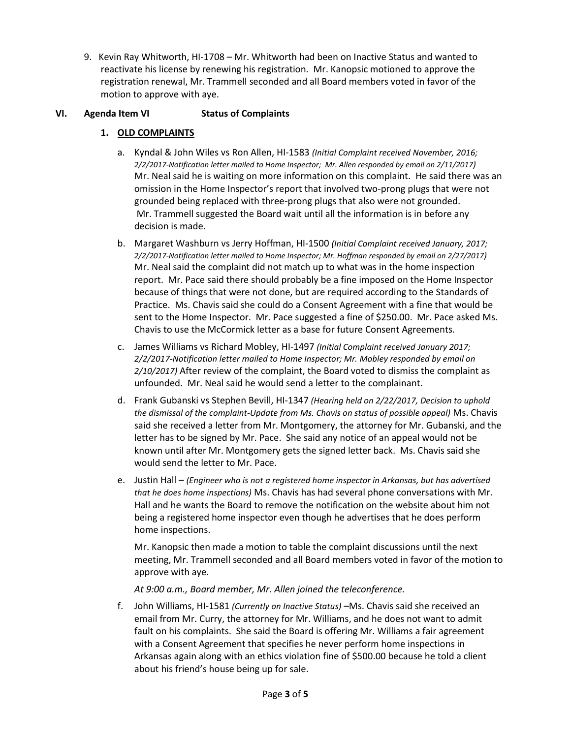9. Kevin Ray Whitworth, HI-1708 – Mr. Whitworth had been on Inactive Status and wanted to reactivate his license by renewing his registration. Mr. Kanopsic motioned to approve the registration renewal, Mr. Trammell seconded and all Board members voted in favor of the motion to approve with aye.

### **VI. Agenda Item VI Status of Complaints**

# **1. OLD COMPLAINTS**

- a. Kyndal & John Wiles vs Ron Allen, HI-1583 *(Initial Complaint received November, 2016; 2/2/2017-Notification letter mailed to Home Inspector; Mr. Allen responded by email on 2/11/2017)* Mr. Neal said he is waiting on more information on this complaint. He said there was an omission in the Home Inspector's report that involved two-prong plugs that were not grounded being replaced with three-prong plugs that also were not grounded. Mr. Trammell suggested the Board wait until all the information is in before any decision is made.
- b. Margaret Washburn vs Jerry Hoffman, HI-1500 *(Initial Complaint received January, 2017; 2/2/2017-Notification letter mailed to Home Inspector; Mr. Hoffman responded by email on 2/27/2017)* Mr. Neal said the complaint did not match up to what was in the home inspection report. Mr. Pace said there should probably be a fine imposed on the Home Inspector because of things that were not done, but are required according to the Standards of Practice. Ms. Chavis said she could do a Consent Agreement with a fine that would be sent to the Home Inspector. Mr. Pace suggested a fine of \$250.00. Mr. Pace asked Ms. Chavis to use the McCormick letter as a base for future Consent Agreements.
- c. James Williams vs Richard Mobley, HI-1497 *(Initial Complaint received January 2017; 2/2/2017-Notification letter mailed to Home Inspector; Mr. Mobley responded by email on 2/10/2017)* After review of the complaint, the Board voted to dismiss the complaint as unfounded. Mr. Neal said he would send a letter to the complainant.
- d. Frank Gubanski vs Stephen Bevill, HI-1347 *(Hearing held on 2/22/2017, Decision to uphold the dismissal of the complaint-Update from Ms. Chavis on status of possible appeal)* Ms. Chavis said she received a letter from Mr. Montgomery, the attorney for Mr. Gubanski, and the letter has to be signed by Mr. Pace. She said any notice of an appeal would not be known until after Mr. Montgomery gets the signed letter back. Ms. Chavis said she would send the letter to Mr. Pace.
- e. Justin Hall *(Engineer who is not a registered home inspector in Arkansas, but has advertised that he does home inspections)* Ms. Chavis has had several phone conversations with Mr. Hall and he wants the Board to remove the notification on the website about him not being a registered home inspector even though he advertises that he does perform home inspections.

Mr. Kanopsic then made a motion to table the complaint discussions until the next meeting, Mr. Trammell seconded and all Board members voted in favor of the motion to approve with aye.

*At 9:00 a.m., Board member, Mr. Allen joined the teleconference.*

f. John Williams, HI-1581 *(Currently on Inactive Status)* –Ms. Chavis said she received an email from Mr. Curry, the attorney for Mr. Williams, and he does not want to admit fault on his complaints. She said the Board is offering Mr. Williams a fair agreement with a Consent Agreement that specifies he never perform home inspections in Arkansas again along with an ethics violation fine of \$500.00 because he told a client about his friend's house being up for sale.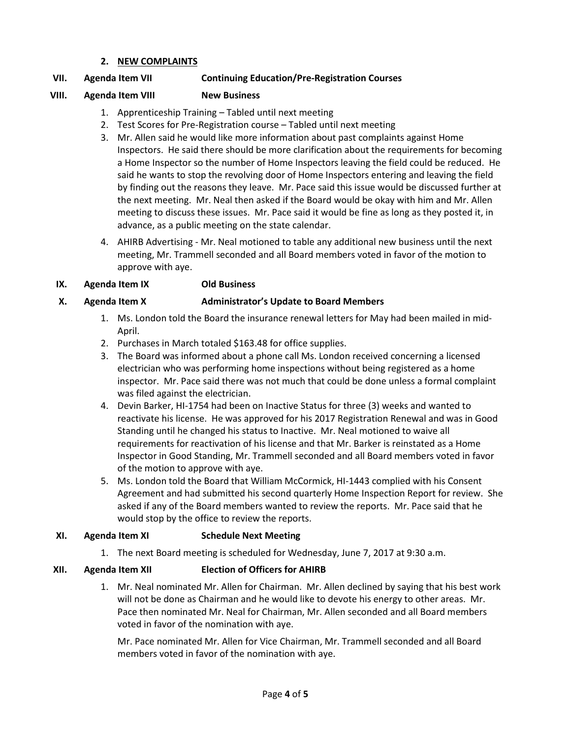#### **2. NEW COMPLAINTS**

### **VII. Agenda Item VII Continuing Education/Pre-Registration Courses**

### **VIII. Agenda Item VIII New Business**

- 1. Apprenticeship Training Tabled until next meeting
- 2. Test Scores for Pre-Registration course Tabled until next meeting
- 3. Mr. Allen said he would like more information about past complaints against Home Inspectors. He said there should be more clarification about the requirements for becoming a Home Inspector so the number of Home Inspectors leaving the field could be reduced. He said he wants to stop the revolving door of Home Inspectors entering and leaving the field by finding out the reasons they leave. Mr. Pace said this issue would be discussed further at the next meeting. Mr. Neal then asked if the Board would be okay with him and Mr. Allen meeting to discuss these issues. Mr. Pace said it would be fine as long as they posted it, in advance, as a public meeting on the state calendar.
- 4. AHIRB Advertising Mr. Neal motioned to table any additional new business until the next meeting, Mr. Trammell seconded and all Board members voted in favor of the motion to approve with aye.

#### **IX. Agenda Item IX Old Business**

#### **X. Agenda Item X Administrator's Update to Board Members**

- 1. Ms. London told the Board the insurance renewal letters for May had been mailed in mid-April.
- 2. Purchases in March totaled \$163.48 for office supplies.
- 3. The Board was informed about a phone call Ms. London received concerning a licensed electrician who was performing home inspections without being registered as a home inspector. Mr. Pace said there was not much that could be done unless a formal complaint was filed against the electrician.
- 4. Devin Barker, HI-1754 had been on Inactive Status for three (3) weeks and wanted to reactivate his license. He was approved for his 2017 Registration Renewal and was in Good Standing until he changed his status to Inactive. Mr. Neal motioned to waive all requirements for reactivation of his license and that Mr. Barker is reinstated as a Home Inspector in Good Standing, Mr. Trammell seconded and all Board members voted in favor of the motion to approve with aye.
- 5. Ms. London told the Board that William McCormick, HI-1443 complied with his Consent Agreement and had submitted his second quarterly Home Inspection Report for review. She asked if any of the Board members wanted to review the reports. Mr. Pace said that he would stop by the office to review the reports.

#### **XI. Agenda Item XI Schedule Next Meeting**

1. The next Board meeting is scheduled for Wednesday, June 7, 2017 at 9:30 a.m.

#### **XII. Agenda Item XII Election of Officers for AHIRB**

1. Mr. Neal nominated Mr. Allen for Chairman. Mr. Allen declined by saying that his best work will not be done as Chairman and he would like to devote his energy to other areas. Mr. Pace then nominated Mr. Neal for Chairman, Mr. Allen seconded and all Board members voted in favor of the nomination with aye.

Mr. Pace nominated Mr. Allen for Vice Chairman, Mr. Trammell seconded and all Board members voted in favor of the nomination with aye.